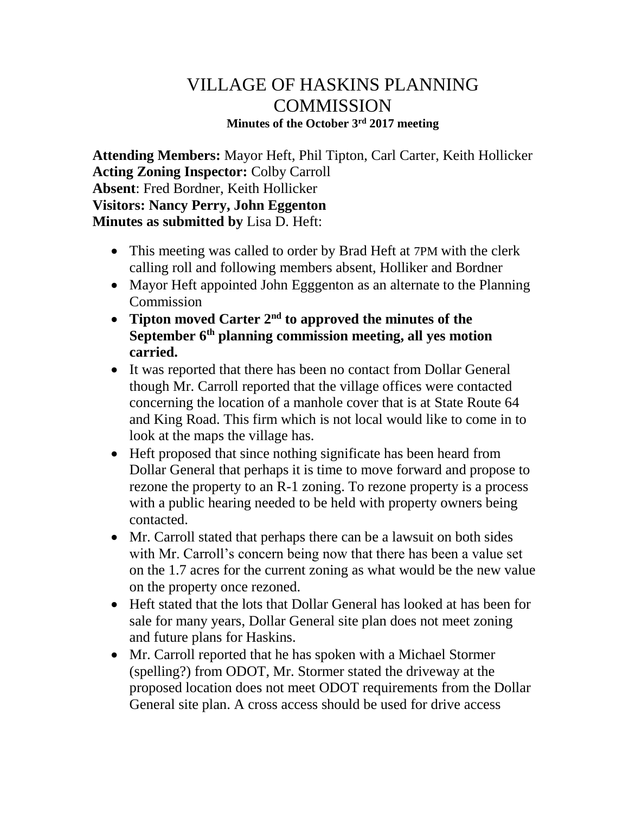## VILLAGE OF HASKINS PLANNING **COMMISSION Minutes of the October 3rd 2017 meeting**

**Attending Members:** Mayor Heft, Phil Tipton, Carl Carter, Keith Hollicker **Acting Zoning Inspector:** Colby Carroll **Absent**: Fred Bordner, Keith Hollicker **Visitors: Nancy Perry, John Eggenton Minutes as submitted by** Lisa D. Heft:

- This meeting was called to order by Brad Heft at 7PM with the clerk calling roll and following members absent, Holliker and Bordner
- Mayor Heft appointed John Egggenton as an alternate to the Planning Commission
- **Tipton moved Carter 2nd to approved the minutes of the September 6th planning commission meeting, all yes motion carried.**
- It was reported that there has been no contact from Dollar General though Mr. Carroll reported that the village offices were contacted concerning the location of a manhole cover that is at State Route 64 and King Road. This firm which is not local would like to come in to look at the maps the village has.
- Heft proposed that since nothing significate has been heard from Dollar General that perhaps it is time to move forward and propose to rezone the property to an R-1 zoning. To rezone property is a process with a public hearing needed to be held with property owners being contacted.
- Mr. Carroll stated that perhaps there can be a lawsuit on both sides with Mr. Carroll's concern being now that there has been a value set on the 1.7 acres for the current zoning as what would be the new value on the property once rezoned.
- Heft stated that the lots that Dollar General has looked at has been for sale for many years, Dollar General site plan does not meet zoning and future plans for Haskins.
- Mr. Carroll reported that he has spoken with a Michael Stormer (spelling?) from ODOT, Mr. Stormer stated the driveway at the proposed location does not meet ODOT requirements from the Dollar General site plan. A cross access should be used for drive access